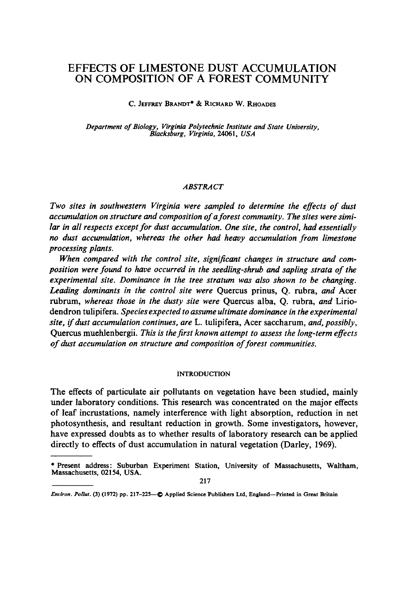# **EFFECTS OF LIMESTONE DUST ACCUMULATION ON COMPOSITION OF A FOREST COMMUNITY**

C. JEFFREY BRANDT<sup>\*</sup> & RICHARD W. RHOADES

*Department of Biology, Virginia Polytechnic Institute and State University, Blacksburg, Virginia,* 24061, *USA* 

## *ABSTRACT*

*Two sites in southwestern Virginia were sampled to determine the effects of dust accumulation on structure and composition of a forest community. The sites were similar in all respects except for dust accumulation. One xite, the control, had essentially no dust accumulation, whereas the other had heavy accumulation from limestone processing plants.* 

*When compared with the control site, significant changes in structure and composition were found to have occurred in the seedling-shrub and sapling strata of the experimental site. Dominance in the tree stratum was also shown to be changing. Leading dominants in the control site were* Quercus prinus, Q. rubra, *and* Acer rubrum, *whereas those in the dusty site were* Quercus alba, Q. rubra, *and* Liriodendron tulipifera. *Species expected to assume ultimate dominance in the experimental site, if dust accumulation continues, are* L. tulipifera, Acer saccharum, *and, possibly,*  Quercus muehlenbergii. *This is the first known attempt to assess the long-term effects of dust accumulation on structure and composition of forest communities.* 

### **INTRODUCTION**

The effects of particulate air pollutants on vegetation have been studied, mainly under laboratory conditions. This research was concentrated on the major effects of leaf incrustations, namely interference with light absorption, reduction in net photosynthesis, and resultant reduction in growth. Some investigators, however, have expressed doubts as to whether results of laboratory research can be applied directly to effects of dust accumulation in natural vegetation (Darley, 1969).

217

<sup>\*</sup> Present address: Suburban Experiment **Station, University**  of Massachusetts, Waltham, Massachusetts, 02154, USA.

*Environ. Pollut.* (3) (1972) pp. 217-225- $\bigcirc$  Applied Science Publishers Ltd, England--Printed in Great Britain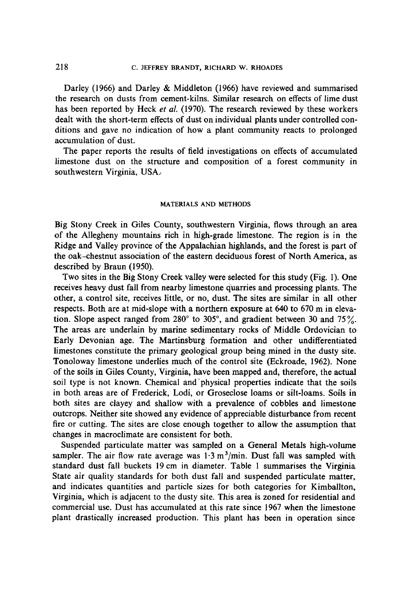Darley (1966) and Darley & Middleton (1966) have reviewed and summarised the research on dusts from cement-kilns. Similar research on effects of lime dust has been reported by Heck *et al.* (1970). The research reviewed by these workers dealt with the short-term effects of dust on individual plants under controlled conditions and gave no indication of how a plant community reacts to prolonged accumulation of dust.

The paper reports the results of field investigations on effects of accumulated limestone dust on the structure and composition of a forest community in southwestern Virginia, USA:

#### MATERIALS AND METHODS

Big Stony Creek in Giles County, southwestern Virginia, flows through an area of the Allegheny mountains rich in high-grade limestone. The region is in the Ridge and Valley province of the Appalachian highlands, and the forest is part of the oak--chestnut association of the eastern deciduous forest of North America, as described by Braun (1950).

Two sites in the Big Stony Creek valley were selected for this study (Fig. 1). One receives heavy dust fall from nearby limestone quarries and processing plants. The other, a control site, receives little, or no, dust. The sites are similar in all other respects. Both are at mid-slope with a northern exposure at 640 to 670 m in elevation. Slope aspect ranged from 280 $^{\circ}$  to 305 $^{\circ}$ , and gradient between 30 and 75 $\%$ . The areas are underlain by marine sedimentary rocks of Middle Ordovician to Early Devonian age. The Martinsburg formation and other undifferentiated limestones constitute the primary geological group being mined in the dusty site. Tonoloway limestone underlies much of the control site (Eckroade, 1962). None of the soils in Giles County, Virginia, have been mapped and, therefore, the actual soil type is not known. Chemical and'physical properties indicate that the soils in both areas are of Frederick, Lodi, or Groseclose loams or silt-loams. Soils in both sites are clayey and shallow with a prevalence of cobbles and limestone outcrops. Neither site showed any evidence of appreciable disturbance from recent fire or cutting. The sites are close enough together to allow the assumption that changes in macroclimate are consistent for both.

Suspended particulate matter was sampled on a General Metals high-volume sampler. The air flow rate average was  $1.3 \text{ m}^3/\text{min}$ . Dust fall was sampled with standard dust fall buckets 19 cm in diameter. Table 1 summarises the Virginia State air quality standards for both dust fall and suspended particulate matter, and indicates quantities and particle sizes for both categories for Kimballton, Virginia, which is adjacent to the dusty site. This area is zoned for residential and commercial use. Dust has accumulated at this rate since 1967 when the limestone plant drastically increased production. This plant has been in operation since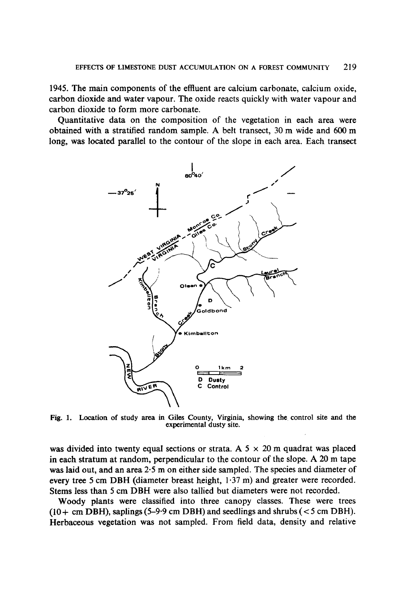1945. The main components of the effluent are calcium carbonate, calcium oxide, carbon dioxide and water vapour. The oxide reacts quickly with water vapour and carbon dioxide to form more carbonate.

Quantitative data on the composition of the vegetation in each area were obtained with a stratified random sample. A belt transect, 30 m wide and 600 m long, was located parallel to the contour of the slope in each area. Each transect



Fig. 1. Location of study area in Giles County, Virginia, showing the control site and the experimental dusty site.

was divided into twenty equal sections or strata. A  $5 \times 20$  m quadrat was placed in each stratum at random, perpendicular to the contour of the slope. A 20 m tape was laid out, and an area 2.5 m on either side sampled. The species and diameter of every tree 5 cm DBH (diameter breast height, 1.37 m) and greater were recorded. Stems less than 5 cm DBH were also tallied but diameters were not recorded.

Woody plants were classified into three canopy classes. These were trees  $(10 + cm DBH)$ , saplings (5-9.9 cm DBH) and seedlings and shrubs (<5 cm DBH). Herbaceous vegetation was not sampled. From field data, density and relative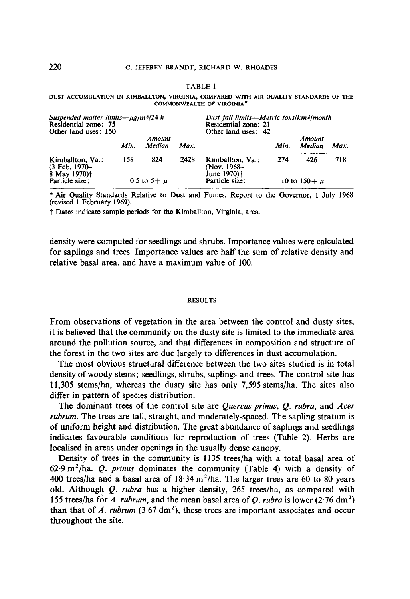#### TABLE 1

|                           | DUST ACCUMULATION IN KIMBALLTON, VIRGINIA, COMPARED WITH AIR QUALITY STANDARDS OF THE |  |  |  |  |  |  |  |  |  |  |
|---------------------------|---------------------------------------------------------------------------------------|--|--|--|--|--|--|--|--|--|--|
| COMMONWEALTH OF VIRGINIA* |                                                                                       |  |  |  |  |  |  |  |  |  |  |

| Suspended matter limits— $\mu$ g/m <sup>3</sup> /24 h<br>Residential zone: 75<br>Other land uses: 150 |      | Dust fall limits—Metric tons/km <sup>2</sup> /month<br>Residential zone: 21<br>Other land uses: 42 |      |                                                            |      |                   |      |
|-------------------------------------------------------------------------------------------------------|------|----------------------------------------------------------------------------------------------------|------|------------------------------------------------------------|------|-------------------|------|
|                                                                                                       | Min. | Amount<br>Median                                                                                   | Max. |                                                            | Min. | Amount<br>Median  | Max. |
| Kimballton, Va.:<br>$(3$ Feb. $1970-$<br>8 May 1970)†                                                 | 158  | 824                                                                                                | 2428 | Kimballton, Va.:<br>(Nov. 1968–<br>June 1970) <sup>†</sup> | 274  | 426               | 718  |
| Particle size:                                                                                        |      | 0.5 to $5 + \mu$                                                                                   |      | Particle size:                                             |      | 10 to $150 + \mu$ |      |

\* Air Quality Standards Relative to Dust and Fumes, Report to the Governor, 1 July 1968 (revised 1 February 1969).

t Dates indicate sample periods for the Kimballton, Virginia, area.

density were computed for seedlings and shrubs. Importance values were calculated for saplings and trees. Importance values are half the sum of relative density and relative basal area, and have a maximum value of 100.

#### RESULTS

From observations of vegetation in the area between the control and dusty sites, it is believed that the community on the dusty site is limited to the immediate area around the pollution source, and that differences in composition and structure of the forest in the two sites are due largely to differences in dust accumulation.

The most obvious structural difference between the two sites studied is in total density of woody stems; seedlings, shrubs, saplings and trees. The control site has 11,305 stems/ha, whereas the dusty site has only 7,595 stems/ha. The sites also differ in pattern of species distribution.

The dominant trees of the control site are *Quercus prinus, Q. rubra,* and *Acer rubrum*. The trees are tall, straight, and moderately-spaced. The sapling stratum is of uniform height and distribution. The great abundance of saplings and seedlings indicates favourable conditions for reproduction of trees (Table 2). Herbs are localised in areas under openings in the usually dense canopy.

Density of trees in the community is 1135 trees/ha with a total basal area of 62.9 m2/ha. *Q. prinus* dominates the community (Table 4) with a density of 400 trees/ha and a basal area of  $18.34 \text{ m}^2/\text{ha}$ . The larger trees are 60 to 80 years old. Although *Q. rubra* has a higher density, 265 trees/ha, as compared with 155 trees/ha for *A. rubrum*, and the mean basal area of *Q. rubra* is lower (2.76 dm<sup>2</sup>) than that of  $A.$  *rubrum* (3.67 dm<sup>2</sup>), these trees are important associates and occur throughout the site.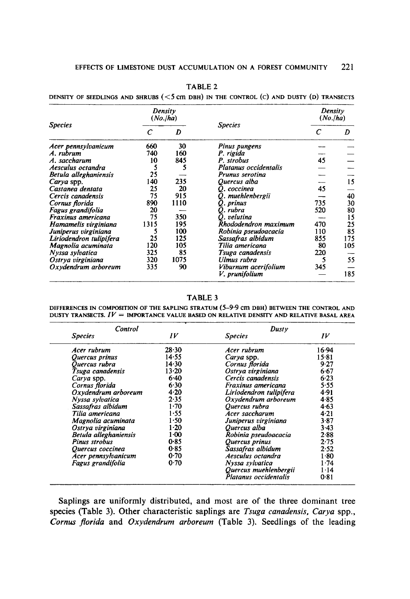|                         |                             | Density<br>(No./ha) |                       | Density<br>(No./ha) |     |  |
|-------------------------|-----------------------------|---------------------|-----------------------|---------------------|-----|--|
| <b>Species</b>          | $\mathcal{C}_{\mathcal{C}}$ | D                   | <b>Species</b>        | $\epsilon$          | D   |  |
| Acer pennsylvanicum     | 660                         | 30                  | Pinus pungens         |                     |     |  |
| A. rubrum               | 740                         | 160                 | P. rigida             |                     |     |  |
| A. saccharum            | 10                          | 845                 | P. strobus            | 45                  |     |  |
| Aesculus octandra       | 5                           | 5                   | Platanus occidentalis |                     |     |  |
| Betula alleghaniensis   | 25                          |                     | Prunus serotina       |                     |     |  |
| Carya spp.              | 140                         | 235                 | Ouercus alba          |                     | 15  |  |
| Castanea dentata        | 25                          | 20                  | O. coccinea           | 45                  |     |  |
| Cercis canadensis       | 75                          | 915                 | Q. muehlenbergii      |                     | 40  |  |
| Cornus florida          | 890                         | 1110                | O. prinus             | 735                 | 30  |  |
| Fagus grandifolia       | 20                          |                     | O. rubra              | 520                 | 80  |  |
| Fraxinus americana      | 75                          | 350                 | O. velutina           |                     | 15  |  |
| Hamamelis virginiana    | 1315                        | 195                 | Rhododendron maximum  | 470                 | 25  |  |
| Juniperus virginiana    | 5                           | 100                 | Robinia pseudoacacia  | 110                 | 85  |  |
| Liriodendron tulipifera | 25                          | 125                 | Sassafras albidum     | 855                 | 175 |  |
| Magnolia acuminata      | 120                         | 105                 | Tilia americana       | 80                  | 105 |  |
| Nyssa sylvatica         | 325                         | 85                  | Tsuga canadensis      | 220                 |     |  |
| Ostrya virginiana       | 320                         | 1075                | Ulmus rubra           | 5                   | 55  |  |
| Oxydendrum arboreum     | 335                         | 90                  | Viburnum acerifolium  | 345                 |     |  |
|                         |                             |                     | V. prunifolium        |                     | 185 |  |

TABLE 2

**DENSITY OF SEEDLINGS AND SHRUBS (<5 cm DBH) IN THE CONTROL (C) AND DUSTY (D) TRANSECTS** 

TABLE 3

DIFFERENCES IN COMPOSITION OF THE SAPLING STRATUM (5-9.9 cm DBH) BETWEEN THE CONTROL AND DUSTY TRANSECTS.  $IV =$  IMPORTANCE VALUE BASED ON RELATIVE DENSITY AND RELATIVE BASAL AREA

| Control               |          | Dusty                   |          |  |
|-----------------------|----------|-------------------------|----------|--|
| <b>Species</b>        | IV       | <b>Species</b>          | IV       |  |
| Acer rubrum           | 28.30    | Acer rubrum             | 16.94    |  |
| Quercus prinus        | 14.55    | Carya spp.              | 15.81    |  |
| Quercus rubra         | 14.30    | Cornus florida          | 9.27     |  |
| Tsuga canadensis      | 13.20    | Ostrya virginiana       | 6.67     |  |
| Carya spp.            | 6.40     | Cercis canadensis       | $6 - 23$ |  |
| Cornus florida        | 6.30     | Fraxinus americana      | 5.55     |  |
| Oxydendrum arboreum   | 4.20     | Liriodendron tulipifera | 4.91     |  |
| Nyssa sylvatica       | 2.35     | Oxydendrum arboreum     | 4.85     |  |
| Sassafras albidum     | $1 - 70$ | Ouercus rubra           | 4.63     |  |
| Tilia americana       | 1.55     | Acer saccharum          | 4.21     |  |
| Magnolia acuminata    | 1.50     | Juniperus virginiana    | 3.87     |  |
| Ostrva virginiana     | 1.20     | Quercus alba            | $3-43$   |  |
| Betula alleghaniensis | $1-00$   | Robinia pseudoacacia    | 2.88     |  |
| Pinus strobus         | 0.85     | Ouercus prinus          | 2.75     |  |
| Quercus coccinea      | 0.85     | Sassafras albidum       | 2.52     |  |
| Acer pennsylvanicum   | 0.70     | Aesculus octandra       | $1 - 80$ |  |
| Fagus grandifolia     | 0.70     | Nyssa sylvatica         | 1.74     |  |
|                       |          | Quercus muehlenbergii   | $1 - 14$ |  |
|                       |          | Platanus occidentalis   | 0.81     |  |

Saplings are uniformly distributed, and most are of the three dominant tree species (Table 3). Other characteristic saplings are *Tsuga canadensis, Carya* spp., *Cornus florida* and *Oxydendrum arboreum* (Table 3). Seedlings of the leading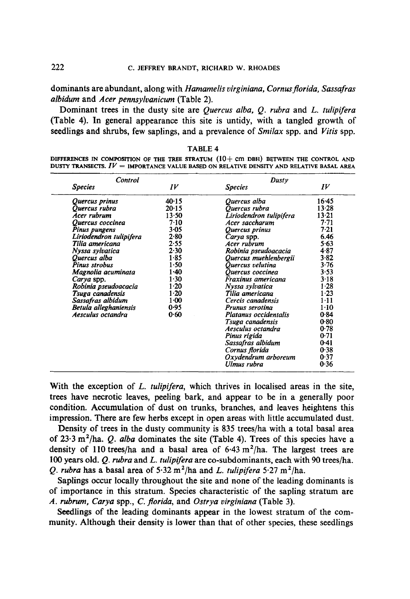**dominants** are abundant, along with *Hamamelis virginiana, Cornusflorida, Sassafras albidum* and *Acer pennsylvanicum* (Table 2).

Dominant trees in the dusty site are *Quercus alba, Q. rubra* and *L. tulipifera*  (Table 4). In general appearance this site is untidy, with a tangled **growth of seedlings** and shrubs, few saplings, and a prevalence of *Smilax* spp. and *Vitis* spp.

| Control                 |          | Dusty                   |           |  |
|-------------------------|----------|-------------------------|-----------|--|
| <b>Species</b>          | IV       | <b>Species</b>          | IV        |  |
| Quercus prinus          | 40.15    | Ouercus alba            | 16.45     |  |
| Quercus rubra           | 20.15    | Quercus rubra           | 13.28     |  |
| Acer rubrum             | 13.50    | Liriodendron tulipifera | $13 - 21$ |  |
| Quercus coccinea        | 7.10     | Acer saccharum          | 7.71      |  |
| Pinus pungens           | $3 - 05$ | Quercus prinus          | 7.21      |  |
| Liriodendron tulipifera | 2.80     | Carya spp.              | 6.46      |  |
| Tilia americana         | 2.55     | Acer rubrum             | 5.63      |  |
| Nyssa sylvatica         | 2.30     | Robinia pseudoacacia    | 4.87      |  |
| Quercus alba            | 1.85     | Quercus muehlenbergii   | 3.82      |  |
| Pinus strobus           | $1-50$   | Quercus velutina        | 3.76      |  |
| Magnolia acuminata      | $1 - 40$ | Ouercus coccinea        | 3.53      |  |
| Carya spp.              | 1.30     | Fraxinus americana      | $3-18$    |  |
| Robinia pseudoacacia    | $1-20$   | Nyssa sylvatica         | $1-28$    |  |
| Tsuga canadensis        | $1 - 20$ | Tilia americana         | 1.23      |  |
| Sassafras albidum       | $1 - 00$ | Cercis canadensis       | $1 - 11$  |  |
| Betula alleghaniensis   | 0.95     | Prunus serotina         | $1 - 10$  |  |
| Aesculus octandra       | 0.60     | Platanus occidentalis   | 0.84      |  |
|                         |          | Tsuga canadensis        | 0.80      |  |
|                         |          | Aesculus octandra       | 0.78      |  |
|                         |          | Pinus rigida            | 0.71      |  |
|                         |          | Sassafras albidum       | 0.41      |  |
|                         |          | Cornus florida          | 0.38      |  |
|                         |          | Oxydendrum arboreum     | 0.37      |  |
|                         |          | Ulmus rubra             | 0.36      |  |

|  | i.<br>б<br>v. |  |
|--|---------------|--|
|--|---------------|--|

DIFFERENCES IN COMPOSITION OF THE TREE STRATUM (10+ cm DBH) BETWEEN THE CONTROL AND DUSTY TRANSECTS.  $IV =$  IMPORTANCE VALUE BASED ON RELATIVE DENSITY AND RELATIVE BASAL AREA

**With the exception of** *L. tulipifera,* **which thrives in localised areas in the site, trees have necrotic leaves, peeling bark, and appear to be in a generally poor condition. Accumulation of dust on trunks, branches, and leaves heightens this impression. There are few herbs except in open areas with little accumulated dust.** 

**Density of trees in the dusty community is 835 trees/ha with a total basal area of 23.3 m2/ha.** *Q. alba* **dominates the site (Table 4). Trees of this species have a**  density of 110 trees/ha and a basal area of 6.43 m<sup>2</sup>/ha. The largest trees are **100 years old.** *Q. rubra* **and** *L. tulipifera* **are co-subdominants, each with 90 trees/ha.**  *Q. rubra* has a basal area of  $5.32 \text{ m}^2/\text{ha}$  and *L. tulipifera*  $5.27 \text{ m}^2/\text{ha}$ .

**Saplings occur locally throughout the site and none of the leading dominants is of importance in this stratum. Species characteristic of the sapling stratum are**  *A. rubrum, Carya* **spp.,** *C. florida,* **and** *Ostrya virginiana* **(Table 3).** 

**Seedlings of the leading dominants appear in the lowest stratum of the community. Although their density is lower than that of other species, these seedlings**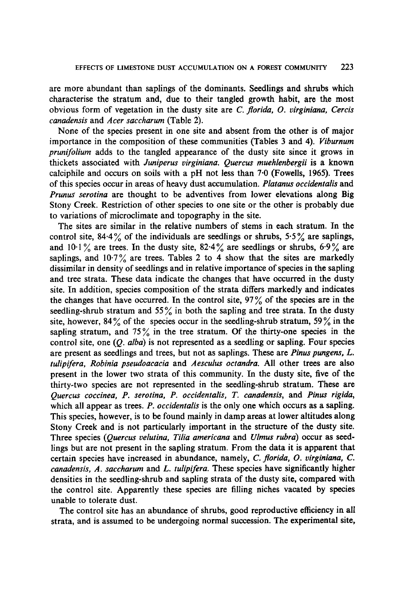are more abundant than saplings of the dominants. Seedlings and shrubs which characterise the stratum and, due to their tangled growth habit, are the most obvious form of vegetation in the dusty site are *C. florida, O. virginiana, Cercis canadensis* and *Acer saccharum* (Table 2).

None of the species present in one site and absent from the other is of major importance in the composition of these communities (Tables 3 and 4). *Viburnum prunifolium* adds to the tangled appearance of the dusty site since it grows in thickets associated with *Juniperus virginiana. Quercus muehlenbergii* is a known calciphile and occurs on soils with a pH not less than 7.0 (Fowells, 1965). Trees of this species occur in areas of heavy dust accumulation. *Platanus occidentalis* and *Prunus serotina* are thought to be adventives from lower elevations along Big Stony Creek. Restriction of other species to one site or the other is probably due to variations of microclimate and topography in the site.

The sites are similar in the relative numbers of stems in each stratum. In the control site, 84.4% of the individuals are seedlings or shrubs, 5.5% are saplings, and 10.1% are trees. In the dusty site,  $82.4\%$  are seedlings or shrubs,  $6.9\%$  are saplings, and  $10.7\%$  are trees. Tables 2 to 4 show that the sites are markedly dissimilar in density of seedlings and in relative importance of species in the sapling and tree strata. These data indicate the changes that have occurred in the dusty site. In addition, species composition of the strata differs markedly and indicates the changes that have occurred. In the control site,  $97\%$  of the species are in the seedling-shrub stratum and 55% in both the sapling and tree strata. In the dusty site, however,  $84\%$  of the species occur in the seedling-shrub stratum,  $59\%$  in the sapling stratum, and  $75\%$  in the tree stratum. Of the thirty-one species in the control site, one *(Q. alba)* is not represented as a seedling or sapling. Four species are present as seedlings and trees, but not as saplings. These are *Pinus pungens, L. tulipifera, Robinia pseudoacacia* and *Aesculus octandra.* All other trees are also present in the lower two strata of this community. In the dusty site, five of the thirty-two species are not represented in the seedling-shrub stratum. These are *Quercus coccinea, P. serotina, P. occidentalis, T. canadensis,* and *Pinus rigida,*  which all appear as trees. *P. occidentalis* is the only one which occurs as a sapling. This species, however, is to be found mainly in damp areas at lower altitudes along Stony Creek and is not particularly important in the structure of the dusty site. Three species *(Quercus velutina, Tilia americana* and *Uimus rubra)* occur as seedlings but are not present in the sapling stratum. From the data it is apparent that certain species have increased in abundance, namely, *C. florida, O. virginiana, C. canadensis, A. saccharum* and *L. tulipifera.* These species have significantly higher densities in the seedling-shrub and sapling strata of the dusty site, compared with the control site. Apparently these species are filling niches vacated by species unable to tolerate dust.

The control site has an abundance of shrubs, good reproductive efficiency in all strata, and is assumed to be undergoing normal succession. The experimental site,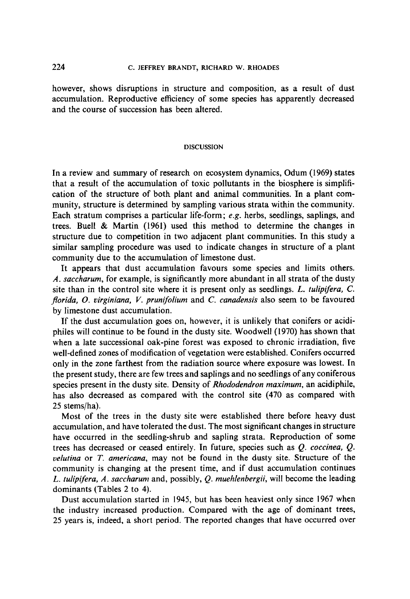## 224 C. JEFFREY BRANDT, RICHARD W. RHOADES

however, shows disruptions in structure and composition, as a result of dust accumulation. Reproductive efficiency of some species has apparently decreased and the course of succession has been altered.

#### DISCUSSION

In a review and summary of research on ecosystem dynamics, Odum (1969) states that a result of the accumulation of toxic pollutants in the biosphere is simplification of the structure of both plant and animal communities. In a plant community, structure is determined by sampling various strata within the community. Each stratum comprises a particular life-form; *e.g.* herbs, seedlings, saplings, and trees. Buell & Martin (1961) used this method to determine the changes in structure due to competition in two adjacent plant communities. In this study a similar sampling procedure was used to indicate changes in structure of a plant community due to the accumulation of limestone dust.

It appears that dust accumulation favours some species and limits others. *A. saccharum,* for example, is significantly more abundant in all strata of the dusty site than in the control site where it is present only as seedlings. *L. tulipifera, C. florida, O. virginiana, V. prunifolium* and *C. canadensis* also seem to be favoured by limestone dust accumulation.

If the dust accumulation goes on, however, it is unlikely that conifers or acidiphiles will continue to be found in the dusty site. Woodwell (1970) has shown that when a late successional oak-pine forest was exposed to chronic irradiation, five well-defined zones of modification of vegetation were established. Conifers occurred only in the zone farthest from the radiation source where exposure was lowest. In the present study, there are few trees and saplings and no seedlings of any coniferous species present in the dusty site. Density of *Rhododendron maximum,* an acidiphile, has also decreased as compared with the control site (470 as compared with 25 stems/ha).

Most of the trees in the dusty site were established there before heavy dust accumulation, and have tolerated the dust. The most significant changes in structure have occurred in the seedling-shrub and sapling strata. Reproduction of some trees has decreased or ceased entirely. In future, species such as *Q. coccinea, Q. velutina* or *T. americana,* may not be found in the dusty site. Structure of the community is changing at the present time, and if dust accumulation continues *L. tulipifera, A. saccharum* and, possibly, *Q. muehlenbergii,* will become the leading dominants (Tables 2 to 4).

Dust accumulation started in 1945, but has been heaviest only since 1967 when the industry increased production. Compared with the age of dominant trees, 25 years is, indeed, a short period. The reported changes that have occurred over